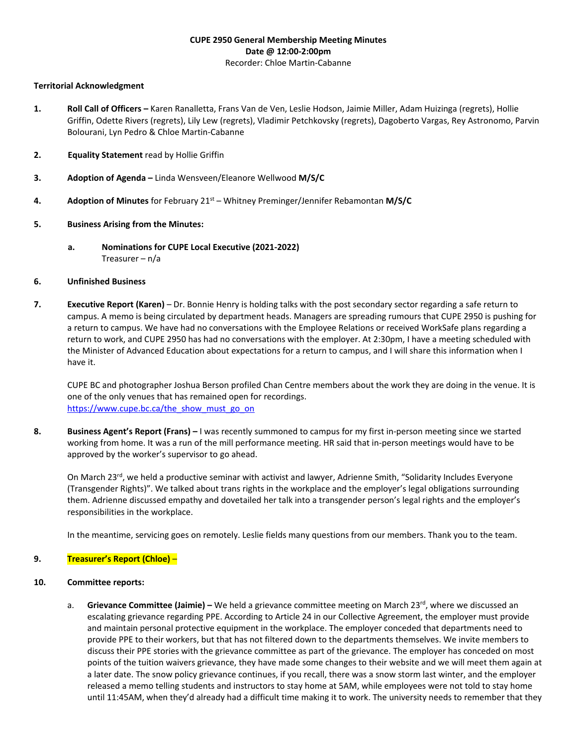### **CUPE 2950 General Membership Meeting Minutes Date @ 12:00-2:00pm** Recorder: Chloe Martin-Cabanne

#### **Territorial Acknowledgment**

- **1. Roll Call of Officers –** Karen Ranalletta, Frans Van de Ven, Leslie Hodson, Jaimie Miller, Adam Huizinga (regrets), Hollie Griffin, Odette Rivers (regrets), Lily Lew (regrets), Vladimir Petchkovsky (regrets), Dagoberto Vargas, Rey Astronomo, Parvin Bolourani, Lyn Pedro & Chloe Martin-Cabanne
- **2. Equality Statement** read by Hollie Griffin
- **3. Adoption of Agenda –** Linda Wensveen/Eleanore Wellwood **M/S/C**
- **4.** Adoption of Minutes for February 21<sup>st</sup> Whitney Preminger/Jennifer Rebamontan M/S/C

# **5. Business Arising from the Minutes:**

**a. Nominations for CUPE Local Executive (2021-2022)** Treasurer – n/a

# **6. Unfinished Business**

**7. Executive Report (Karen)** – Dr. Bonnie Henry is holding talks with the post secondary sector regarding a safe return to campus. A memo is being circulated by department heads. Managers are spreading rumours that CUPE 2950 is pushing for a return to campus. We have had no conversations with the Employee Relations or received WorkSafe plans regarding a return to work, and CUPE 2950 has had no conversations with the employer. At 2:30pm, I have a meeting scheduled with the Minister of Advanced Education about expectations for a return to campus, and I will share this information when I have it.

CUPE BC and photographer Joshua Berson profiled Chan Centre members about the work they are doing in the venue. It is one of the only venues that has remained open for recordings. [https://www.cupe.bc.ca/the\\_show\\_must\\_go\\_on](https://www.cupe.bc.ca/the_show_must_go_on)

**8. Business Agent's Report (Frans) –** I was recently summoned to campus for my first in-person meeting since we started working from home. It was a run of the mill performance meeting. HR said that in-person meetings would have to be approved by the worker's supervisor to go ahead.

On March 23<sup>rd</sup>, we held a productive seminar with activist and lawyer, Adrienne Smith, "Solidarity Includes Everyone (Transgender Rights)". We talked about trans rights in the workplace and the employer's legal obligations surrounding them. Adrienne discussed empathy and dovetailed her talk into a transgender person's legal rights and the employer's responsibilities in the workplace.

In the meantime, servicing goes on remotely. Leslie fields many questions from our members. Thank you to the team.

# **9. Treasurer's Report (Chloe)** –

# **10. Committee reports:**

a. **Grievance Committee (Jaimie)** – We held a grievance committee meeting on March 23<sup>rd</sup>, where we discussed an escalating grievance regarding PPE. According to Article 24 in our Collective Agreement, the employer must provide and maintain personal protective equipment in the workplace. The employer conceded that departments need to provide PPE to their workers, but that has not filtered down to the departments themselves. We invite members to discuss their PPE stories with the grievance committee as part of the grievance. The employer has conceded on most points of the tuition waivers grievance, they have made some changes to their website and we will meet them again at a later date. The snow policy grievance continues, if you recall, there was a snow storm last winter, and the employer released a memo telling students and instructors to stay home at 5AM, while employees were not told to stay home until 11:45AM, when they'd already had a difficult time making it to work. The university needs to remember that they